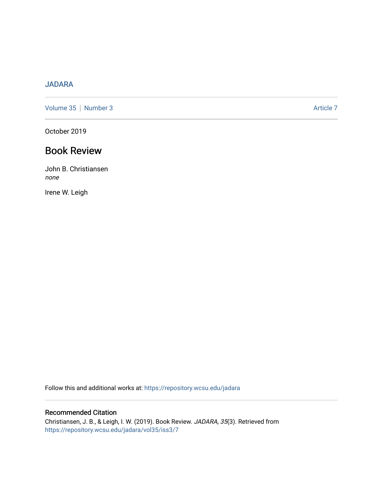## [JADARA](https://repository.wcsu.edu/jadara)

[Volume 35](https://repository.wcsu.edu/jadara/vol35) | [Number 3](https://repository.wcsu.edu/jadara/vol35/iss3) Article 7

October 2019

## Book Review

John B. Christiansen none

Irene W. Leigh

Follow this and additional works at: [https://repository.wcsu.edu/jadara](https://repository.wcsu.edu/jadara?utm_source=repository.wcsu.edu%2Fjadara%2Fvol35%2Fiss3%2F7&utm_medium=PDF&utm_campaign=PDFCoverPages)

#### Recommended Citation

Christiansen, J. B., & Leigh, I. W. (2019). Book Review. JADARA, 35(3). Retrieved from [https://repository.wcsu.edu/jadara/vol35/iss3/7](https://repository.wcsu.edu/jadara/vol35/iss3/7?utm_source=repository.wcsu.edu%2Fjadara%2Fvol35%2Fiss3%2F7&utm_medium=PDF&utm_campaign=PDFCoverPages)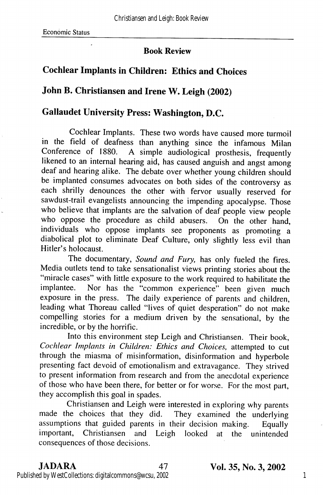#### Book Review

## Cochlear Implants in Children: Ethics and Choices

### John B. Christiansen and Irene W. Leigh (2002)

## Gallaudet University Press: Washington, D.C.

Cochlear Implants. These two words have caused more turmoil in the field of deafness than anything since the infamous Milan Conference of 1880. A simple audiological prosthesis, frequently likened to an internal hearing aid, has caused anguish and angst among deaf and hearing alike. The debate over whether young children should be implanted consumes advocates on both sides of the controversy as each shrilly denounces the other with fervor usually reserved for sawdust-trail evangelists announcing the impending apocalypse. Those who believe that implants are the salvation of deaf people view people who oppose the procedure as child abusers. On the other hand, individuals who oppose implants see proponents as promoting a diabolical plot to eliminate Deaf Culture, only slightly less evil than Hitler's holocaust.

The documentary, Sound and Fury, has only fueled the fires. Media outlets tend to take sensationalist views printing stories about the "miracle cases" with little exposure to the work required to habilitate the implantee. Nor has the "common experience" been given much exposure in the press. The daily experience of parents and children, leading what Thoreau called "lives of quiet desperation" do not make compelling stories for a medium driven by the sensational, by the incredible, or by the horrific.

Into this environment step Leigh and Christiansen. Their book, Cochlear Implants in Children: Ethics and Choices, attempted to cut through the miasma of misinformation, disinformation and hyperbole presenting fact devoid of emotionalism and extravagance. They strived to present information from research and from the anecdotal experience of those who have been there, for better or for worse. For the most part, they accomplish this goal in spades.

Christiansen and Leigh were interested in exploring why parents made the choices that they did. They examined the underlying assumptions that guided parents in their decision making. Equally important, Christiansen and Leigh looked at the unintended consequences of those decisions.

# Published by WestCollections: digitalcommons@wcsu, 2002

JADARA 47 Vol. 35, No. 3,2002

1